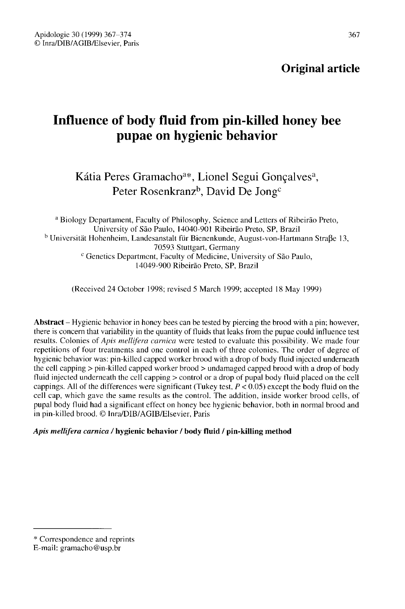# Original article

# Influence of body fluid from pin-killed honey bee<br>
pupae on hygienic behavior<br>
Kátia Peres Gramacho<sup>a\*</sup>, Lionel Segui Gonçalves<sup>a</sup>,<br>
Peter Rosenkranz<sup>b</sup>, David De Jong<sup>c</sup> pupae on hygienic behavior

Kátia Peres Gramacho<sup>a</sup>\*, Lionel Segui ( Peter Rosenkranz<sup>b</sup>, David De Jong

<sup>a</sup> Biology Departament, Faculty of Philosophy, Science and Letters of Ribeirão Preto, University of Sao Paulo, 14040-901 Ribeirao Preto, SP, Brazil <sup>b</sup> Universität Hohenheim, Landesanstalt für Bienenkunde, August-von-Hartmann Straße 13, <sup>c</sup> Genetics Department, Faculty of Medicine, University of São Paulo, 14049-900 Ribeirão Preto, SP, Brazil

(Received 24 October 1998; revised 5 March 1999; accepted 18 May 1999)

Abstract – Hygienic behavior in honey bees can be tested by piercing the brood with a pin; however, there is concern that variability in the quantity of fluids that leaks from the pupae could influence test results. Colonies of Apis mellifera carnica were tested to evaluate this possibility. We made four repetitions of four treatments and one control in each of three colonies. The order of degree of hygienic behavior was: pin-killed capped worker brood with a drop of body fluid injected underneath the cell capping > pin-killed capped worker brood > undamaged capped brood with a drop of body fluid injected underneath the cell capping > control or a drop of pupal body fluid placed on the cell cappings. All of the differences were significant (Tukey test,  $P < 0.05$ ) except the body fluid on the cell cap, which gave the same results as the control. The addition, inside worker brood cells, of pupal body fluid had a significant effect on honey bee hygienic behavior, both in normal brood and in pin-killed brood. © Inra/DIB/AGIB/Elsevier, Paris

# Apis mellifera carnica / hygienic behavior / body fluid / pin-killing method

<sup>\*</sup> Correspondence and reprints

E-mail: gramacho@usp.br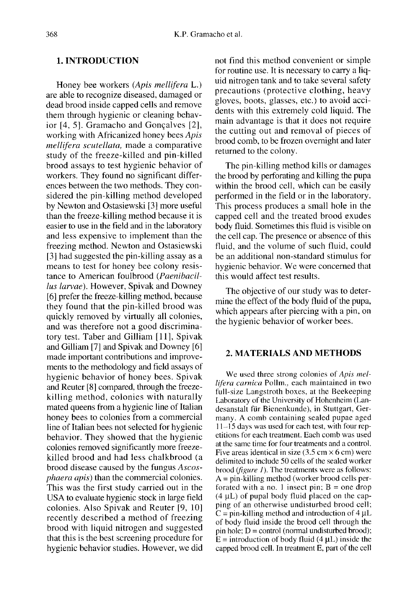# 1. INTRODUCTION

Honey bee workers (Apis mellifera L.) are able to recognize diseased, damaged or dead brood inside capped cells and remove them through hygienic or cleaning behavior [4, 5]. Gramacho and Gonçalves [2], working with Africanized honey bees Apis mellifera scutellata, made a comparative study of the freeze-killed and pin-killed brood assays to test hygienic behavior of workers. They found no significant differences between the two methods. They considered the pin-killing method developed by Newton and Ostasiewski [3] more useful than the freeze-killing method because it is easier to use in the field and in the laboratory and less expensive to implement than the freezing method. Newton and Ostasiewski [3] had suggested the pin-killing assay as a means to test for honey bee colony resistance to American foulbrood (Paenibacillus larvae). However, Spivak and Downey [6] prefer the freeze-killing method, because they found that the pin-killed brood was quickly removed by virtually all colonies, and was therefore not a good discriminatory test. Taber and Gilliam [11], Spivak and Gilliam [7] and Spivak and Downey [6] made important contributions and improve ments to the methodology and field assays of hygienic behavior of honey bees. Spivak and Reuter [8] compared, through the freezekilling method, colonies with naturally mated queens from a hygienic line of Italian honey bees to colonies from a commercial line of Italian bees not selected for hygienic behavior. They showed that the hygienic colonies removed significantly more freezekilled brood and had less chalkbrood (a brood disease caused by the fungus Ascosphaera apis) than the commercial colonies. This was the first study carried out in the USA to evaluate hygienic stock in large field colonies. Also Spivak and Reuter [9, 10] recently described a method of freezing brood with liquid nitrogen and suggested that this is the best screening procedure for hygienic behavior studies. However, we did not find this method convenient or simple for routine use. It is necessary to carry a liquid nitrogen tank and to take several safety precautions (protective clothing, heavy gloves, boots, glasses, etc.) to avoid accidents with this extremely cold liquid. The main advantage is that it does not require the cutting out and removal of pieces of brood comb, to be frozen overnight and later returned to the colony.

The pin-killing method kills or damages the brood by perforating and killing the pupa within the brood cell, which can be easily performed in the field or in the laboratory. This process produces a small hole in the capped cell and the treated brood exudes body fluid. Sometimes this fluid is visible on the cell cap. The presence or absence of this fluid, and the volume of such fluid, could be an additional non-standard stimulus for hygienic behavior. We were concerned that this would affect test results.

The objective of our study was to determine the effect of the body fluid of the pupa, which appears after piercing with a pin, on the hygienic behavior of worker bees.

# 2. MATERIALS AND METHODS

We used three strong colonies of Apis mellifera carnica Pollm., each maintained in two full-size Langstroth boxes, at the Beekeeping Laboratory of the University of Hohenheim (Landesanstalt für Bienenkunde), in Stuttgart, Germany. A comb containing sealed pupae aged 11-15 days was used for each test, with four repetitions for each treatment. Each comb was used at the same time for four treatments and a control. Five areas identical in size  $(3.5 \text{ cm} \times 6 \text{ cm})$  were delimited to include 50 cells of the sealed worker brood (figure 1). The treatments were as follows:  $A = \text{pin-killing method}$  (worker brood cells perforated with a no. 1 insect pin;  $B =$  one drop (4 μL) of pupal body fluid placed on the capping of an otherwise undisturbed brood cell;  $C = \text{pin-killing method}$  and introduction of 4  $\mu L$ of body fluid inside the brood cell through the pin hole;  $D =$  control (normal undisturbed brood);  $\mathbf{\dot{E}}$  = introduction of body fluid (4 μL) inside the capped brood cell. In treatment E, part of the cell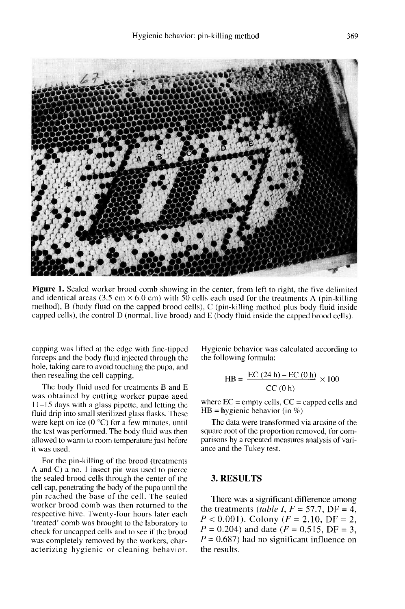

Figure 1. Sealed worker brood comb showing in the center, from left to right, the five delimited and identical areas (3.5 cm  $\times$  6.0 cm) with 50 cells each used for the treatments A (pin-killing method), B (body fluid on the capped brood cells), C (pin-killing method plus body fluid inside capped cells), the control D (normal, live brood) and E (body fluid inside the capped brood cells).

capping was lifted at the edge with fine-tipped forceps and the body fluid injected through the hole, taking care to avoid touching the pupa, and then resealing the cell capping.

The body fluid used for treatments B and E was obtained by cutting worker pupae aged 11-15 days with a glass pipette, and letting the fluid drip into small sterilized glass flasks. These were kept on ice  $(0 °C)$  for a few minutes, until the test was performed. The body fluid was then allowed to warm to room temperature just before it was used.

For the pin-killing of the brood (treatments A and C) a no. 1 insect pin was used to pierce the sealed brood cells through the center of the cell cap, penetrating the body of the pupa until the pin reached the base of the cell. The sealed worker brood comb was then returned to the respective hive. Twenty-four hours later each 'treated' comb was brought to the laboratory to check for uncapped cells and to see if the brood was completely removed by the workers, characterizing hygienic or cleaning behavior.

Hygienic behavior was calculated according to the following formula:

$$
HB = \frac{EC (24 h) - EC (0 h)}{CC (0 h)} \times 100
$$

where  $EC =$  empty cells,  $CC =$  capped cells and  $HB = hy$ gienic behavior (in %)

The data were transformed via arcsine of the square root of the proportion removed, for comparisons by a repeated measures analysis of variance and the Tukey test.

### 3. RESULTS

There was a significant difference among the treatments (table I,  $F = 57.7$ , DF = 4,  $P < 0.001$ ). Colony ( $F = 2.10$ , DF = 2,  $P = 0.204$ ) and date ( $F = 0.515$ , DF = 3,  $P = 0.687$ ) had no significant influence on the results.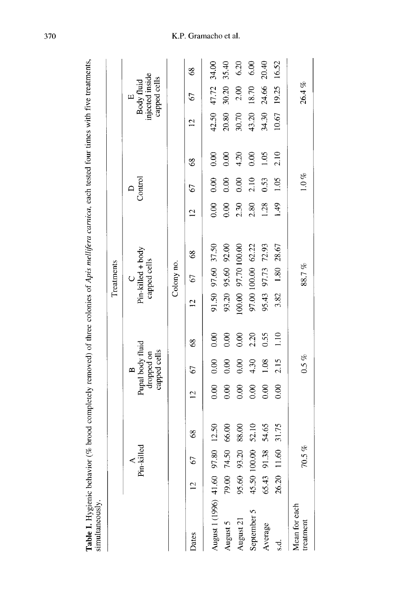|                            |       |                                |             |                |                                                                |      |                | Treatments                        |    |                |           |      |                |                                                               |               |
|----------------------------|-------|--------------------------------|-------------|----------------|----------------------------------------------------------------|------|----------------|-----------------------------------|----|----------------|-----------|------|----------------|---------------------------------------------------------------|---------------|
|                            |       | Pin-killed<br>$\blacktriangle$ |             |                | Pupal body fluid<br>capped cells<br>dropped on<br>$\mathbf{r}$ |      |                | Pin-killed + body<br>capped cells |    |                | Control   |      |                | injected inside<br>capped cells<br>Body fluid<br>$\mathbf{r}$ |               |
|                            |       |                                |             |                |                                                                |      |                | Colony no.                        |    |                |           |      |                |                                                               |               |
| Dates                      |       | 67                             | 68          | $\overline{5}$ | 67                                                             | 68   | $\overline{5}$ | 67                                | 68 | $\overline{c}$ | 67        | 68   | $\overline{C}$ | 67                                                            | $\frac{8}{3}$ |
| August 1 (1996) 41.60      |       | 97.80 12.50                    |             | 0.00           | 0.00                                                           | 0.00 |                | 91.50 97.60 37.50                 |    | 0.00           | 0.00      | 0.00 | 42.50          | 47.72 34.00                                                   |               |
| August 5                   | 79.00 | 74.50                          | 66.00       | 0.00           | 0.00                                                           | 0.00 |                | 93.20 95.60 92.00                 |    | 0.00           | 0.00      | 0.00 | 20.80          | 30.20                                                         | 35.40         |
| August 21                  | 95.60 | 93.20                          | 88.00       | 0.00           | 0.00                                                           | 0.00 |                | 100.00 97.70 100.00               |    | 2.30           | 0.00      | 4.20 | 30.70          | 2.00                                                          | 6.20          |
| September 5                |       | 45.50 100.00                   | 52.10       | 0.00           | 4.30                                                           | 2.20 |                | 97.00 100.00 62.22                |    | 2.80           | 2.10      | 0.00 | 43.20          | 18.70                                                         | 6.00          |
| Average                    | 65.43 | 91.38                          | 54.65       | 0.00           | 1.08                                                           | 0.55 |                | 95.43 97.73 72.93                 |    | 1.28           | 0.53      | 1.05 | 34.30          | 24.66                                                         | 20.40         |
| નું                        | 26.20 |                                | 11.60 31.75 | 0.00           | 2.15                                                           | 1.10 |                | 3.82 1.80 28.67                   |    | 149            | 1.05      | 2.10 | 10.67          | 19.25                                                         | 16.52         |
| Mean for each<br>treatment |       | $70.5\%$                       |             |                | $0.5\%$                                                        |      |                | 88.7%                             |    |                | $1.0\,\%$ |      |                | 26.4%                                                         |               |

370

# K.P. Gramacho et al.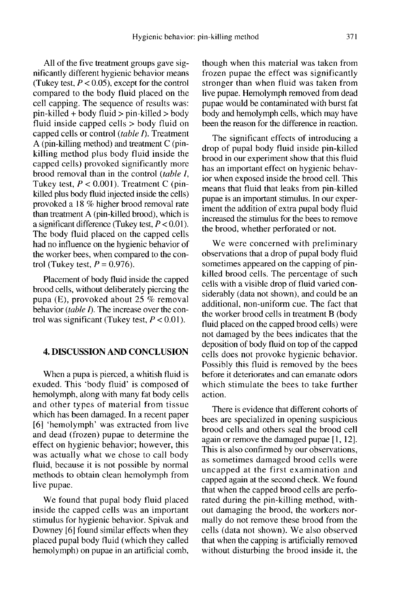All of the five treatment groups gave significantly different hygienic behavior means (Tukey test,  $P < 0.05$ ), except for the control compared to the body fluid placed on the cell capping. The sequence of results was: pin-killed + body fluid > pin-killed > body fluid inside capped cells > body fluid on capped cells or control (table I). Treatment A (pin-killing method) and treatment C (pinkilling method plus body fluid inside the capped cells) provoked significantly more brood removal than in the control (table I, Tukey test,  $P < 0.001$ ). Treatment C (pinkilled plus body fluid injected inside the cells) provoked a 18 % higher brood removal rate than treatment A (pin-killed brood), which is a significant difference (Tukey test,  $P < 0.01$ ). The body fluid placed on the capped cells had no influence on the hygienic behavior of the worker bees, when compared to the control (Tukey test,  $P = 0.976$ ).

Placement of body fluid inside the capped brood cells, without deliberately piercing the pupa (E), provoked about 25 % removal behavior (table I). The increase over the control was significant (Tukey test,  $P < 0.01$ ).

# 4. DISCUSSION AND CONCLUSION

When a pupa is pierced, a whitish fluid is exuded. This 'body fluid' is composed of hemolymph, along with many fat body cells and other types of material from tissue which has been damaged. In a recent paper [6] 'hemolymph' was extracted from live and dead (frozen) pupae to determine the effect on hygienic behavior; however, this was actually what we chose to call body fluid, because it is not possible by normal methods to obtain clean hemolymph from live pupae.

We found that pupal body fluid placed inside the capped cells was an important stimulus for hygienic behavior. Spivak and Downey [6] found similar effects when they placed pupal body fluid (which they called hemolymph) on pupae in an artificial comb, though when this material was taken from frozen pupae the effect was significantly stronger than when fluid was taken from live pupae. Hemolymph removed from dead pupae would be contaminated with burst fat body and hemolymph cells, which may have been the reason for the difference in reaction.

The significant effects of introducing a drop of pupal body fluid inside pin-killed brood in our experiment show that this fluid has an important effect on hygienic behavior when exposed inside the brood cell. This means that fluid that leaks from pin-killed pupae is an important stimulus. In our experiment the addition of extra pupal body fluid increased the stimulus for the bees to remove the brood, whether perforated or not.

We were concerned with preliminary observations that a drop of pupal body fluid sometimes appeared on the capping of pinkilled brood cells. The percentage of such cells with a visible drop of fluid varied considerably (data not shown), and could be an additional, non-uniform cue. The fact that the worker brood cells in treatment B (body fluid placed on the capped brood cells) were not damaged by the bees indicates that the deposition of body fluid on top of the capped cells does not provoke hygienic behavior. Possibly this fluid is removed by the bees before it deteriorates and can emanate odors which stimulate the bees to take further action.

There is evidence that different cohorts of bees are specialized in opening suspicious brood cells and others seal the brood cell again or remove the damaged pupae [1, 12]. This is also confirmed by our observations, as sometimes damaged brood cells were uncapped at the first examination and capped again at the second check. We found that when the capped brood cells are perforated during the pin-killing method, without damaging the brood, the workers normally do not remove these brood from the cells (data not shown). We also observed that when the capping is artificially removed without disturbing the brood inside it, the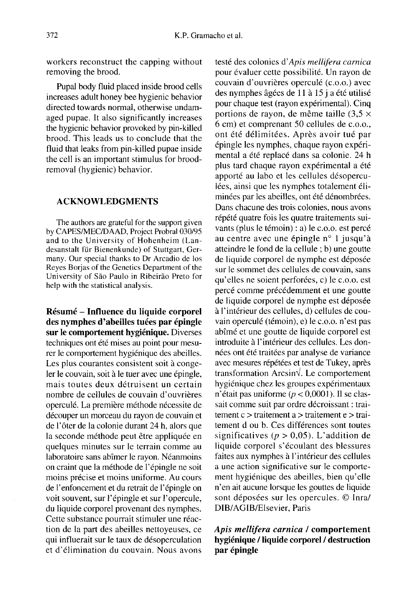workers reconstruct the capping without removing the brood.

Pupal body fluid placed inside brood cells increases adult honey bee hygienic behavior directed towards normal, otherwise undamaged pupae. It also significantly increases the hygienic behavior provoked by pin-killed brood. This leads us to conclude that the fluid that leaks from pin-killed pupae inside the cell is an important stimulus for broodremoval (hygienic) behavior.

# ACKNOWLEDGMENTS

The authors are grateful for the support given by CAPES/MEC/DAAD, Project Probral 030/95 and to the University of Hohenheim (Landesanstalt für Bienenkunde) of Stuttgart, Germany. Our special thanks to Dr Arcadio de los Reyes Borjas of the Genetics Department of the University of São Paulo in Ribeirão Preto for help with the statistical analysis.

Résumé - Influence du liquide corporel des nymphes d'abeilles tuées par épingle sur le comportement hygiénique. Diverses techniques ont été mises au point pour mesurer le comportement hygiénique des abeilles. Les plus courantes consistent soit à congeler le couvain, soit à le tuer avec une épingle, mais toutes deux détruisent un certain nombre de cellules de couvain d'ouvrières operculé. La première méthode nécessite de découper un morceau du rayon de couvain et de l'ôter de la colonie durant 24 h, alors que la seconde méthode peut être appliquée en quelques minutes sur le terrain comme au laboratoire sans abîmer le rayon. Néanmoins on craint que la méthode de l'épingle ne soit moins précise et moins uniforme. Au cours de l'enfoncement et du retrait de l'épingle on voit souvent, sur l'épingle et sur l'opercule, du liquide corporel provenant des nymphes. Cette substance pourrait stimuler une réaction de la part des abeilles nettoyeuses, ce qui influerait sur le taux de désoperculation et d'élimination du couvain. Nous avons

testé des colonies d'Apis mellifera carnica pour évaluer cette possibilité. Un rayon de couvain d'ouvrières operculé (c.o.o.) avec des nymphes âgées de 11 à 15 j a été utilisé pour chaque test (rayon expérimental). Cinq portions de rayon, de même taille  $(3,5 \times$ 6 cm) et comprenant 50 cellules de c.o.o., ont été délimitées. Après avoir tué par épingle les nymphes, chaque rayon expérimental a été replacé dans sa colonie. 24 h plus tard chaque rayon expérimental a été apporté au labo et les cellules désoperculées, ainsi que les nymphes totalement éliminées par les abeilles, ont été dénombrées. Dans chacune des trois colonies, nous avons répété quatre fois les quatre traitements suivants (plus le témoin) : a) le c.o.o. est percé au centre avec une épingle n° 1 jusqu'à atteindre le fond de la cellule ; b) une goutte de liquide corporel de nymphe est déposée sur le sommet des cellules de couvain, sans qu'elles ne soient perforées, c) le c.o.o. est percé comme précédemment et une goutte de liquide corporel de nymphe est déposée à l'intérieur des cellules, d) cellules de couvain operculé (témoin), e) le c.o.o. n'est pas abîmé et une goutte de liquide corporel est introduite à l'intérieur des cellules. Les données ont été traitées par analyse de variance avec mesures répétées et test de Tukey, après transformation Arcsin√. Le comportement hygiénique chez les groupes expérimentaux n'était pas uniforme ( $p < 0,0001$ ). Il se classait comme suit par ordre décroissant : traitement c > traitement a > traitement e > traitement d ou b. Ces différences sont toutes significatives ( $p > 0.05$ ). L'addition de liquide corporel s'écoulant des blessures faites aux nymphes à l'intérieur des cellules a une action significative sur le comporte ment hygiénique des abeilles, bien qu'elle n'en ait aucune lorsque les gouttes de liquide sont déposées sur les opercules. © Inra/ DIB/AGIB/Elsevier, Paris

# Apis mellifera carnica / comportement hygiénique / liquide corporel / destruction par épingle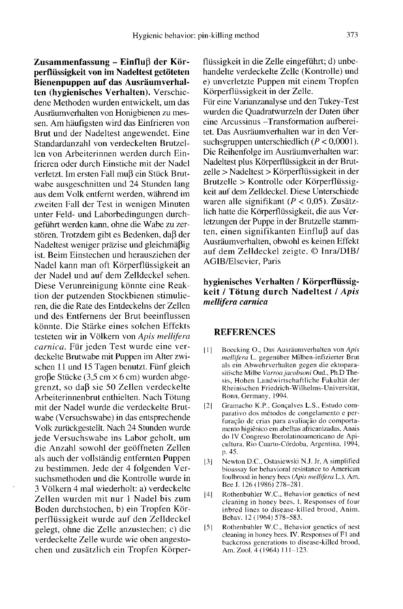Zusammenfassung – Einfluß der Körperflüssigkeit von im Nadeltest getöteten Bienenpuppen auf das Ausräumverhalten (hygienisches Verhalten). Verschiedene Methoden wurden entwickelt, um das Ausräumverhalten von Honigbienen zu messen. Am häufigsten wird das Einfrieren von Brut und der Nadeltest angewendet. Eine Standardanzahl von verdeckelten Brutzellen von Arbeiterinnen werden durch Einfrieren oder durch Einstiche mit der Nadel verletzt. Im ersten Fall muß ein Stück Brutwabe ausgeschnitten und 24 Stunden lang aus dem Volk entfernt werden, während im zweiten Fall der Test in wenigen Minuten unter Feld- und Laborbedingungen durchgeführt werden kann, ohne die Wabe zu zerstören. Trotzdem gibt es Bedenken, daß der Nadeltest weniger präzise und gleichmäßig ist. Beim Einstechen und herausziehen der Nadel kann man oft Körperflüssigkeit an der Nadel und auf dem Zelldeckel sehen. Diese Verunreinigung könnte eine Reaktion der putzenden Stockbienen stimulieren, die die Rate des Entdeckelns der Zellen und des Entfernens der Brut beeinflussen könnte. Die Stärke eines solchen Effekts testeten wir in Völkern von Apis mellifera carnica. Für jeden Test wurde eine verdeckelte Brutwabe mit Puppen im Alter zwischen 11 und 15 Tagen benutzt. Fünf gleich große Stücke (3,5 cm  $\times$  6 cm) wurden abgegrenzt, so daß sie 50 Zellen verdeckelte Arbeiterinnenbrut enthielten. Nach Tötung mit der Nadel wurde die verdeckelte Brutwabe (Versuchswabe) in das entsprechende Volk zurückgestellt. Nach 24 Stunden wurde jede Versuchswabe ins Labor geholt, um die Anzahl sowohl der geöffneten Zellen als auch der vollständig entfernten Puppen zu bestimmen. Jede der 4 folgenden Versuchsmethoden und die Kontrolle wurde in 3 Völkern 4 mal wiederholt: a) verdeckelte Zellen wurden mit nur 1 Nadel bis zum Boden durchstochen, b) ein Tropfen Körperflüssigkeit wurde auf den Zelldeckel gelegt, ohne die Zelle anzustechen; c) die verdeckelte Zelle wurde wie oben angestochen und zusätzlich ein Tropfen Körperflüssigkeit in die Zelle eingeführt; d) unbehandelte verdeckelte Zelle (Kontrolle) und e) unverletzte Puppen mit einem Tropfen Körperflüssigkeit in der Zelle.

Für eine Varianzanalyse und den Tukey-Test wurden die Quadratwurzeln der Daten über eine Arcussinus -Transformation aufbereitet. Das Ausräumverhalten war in den Versuchsgruppen unterschiedlich ( $P < 0.0001$ ). Die Reihenfolge im Ausräumverhalten war: Nadeltest plus Körperflüssigkeit in der Brutzelle > Nadeltest > Körperflüssigkeit in der Brutzelle > Kontrolle oder Körperflüssigkeit auf dem Zelldeckel. Diese Unterschiede waren alle signifikant  $(P < 0.05)$ . Zusätzlich hatte die Körperflüssigkeit, die aus Verletzungen der Puppe in der Brutzelle stammten, einen signifikanten Einfluß auf das Ausräumverhalten, obwohl es keinen Effekt auf dem Zelldeckel zeigte. © Inra/DIB/ AGIB/Elsevier, Paris

# hygienisches Verhalten / Körperflüssigkeit / Tötung durch Nadeltest / Apis mellifera carnica

# **REFERENCES**

- [1] Boecking O., Das Ausräumverhalten von Apis mellifera L. gegenüber Milben-infizierter Brut als ein Abwehrverhalten gegen die ektoparasitische Milbe Varroa jacobsoni Oud., Ph.D Thesis, Hohen Landwirtschaftliche Fakultät der Rheinischen Friedrich-Wilhelms-Universität, Bonn, Germany, 1994.
- [2] Gramacho K.P., Gonçalves L.S., Estudo comparativo dos métodos de congelamento e permento higiênico em abelhas africanizadas, Anais do IV Congreso Iberolatinoamericano de Apicultura, Rio Cuarto-Córdoba, Argentina, 1994, p. 45.
- [3] Newton D.C., Ostasiewski N.J. Jr, A simplified bioassay for behavioral resistance to American foulbrood in honey bees (Apis mellifera L.), Am. Bee J. 126 (1986) 278-281.
- [4] Rothenbuhler W.C., Behavior genetics of nest cleaning in honey bees. I. Responses of four inbred lines to disease-killed brood, Anim. Behav. 12 (1964) 578-583.
- [5] Rothenbuhler W.C., Behavior genetics of nest cleaning in honey bees. IV. Responses of F1 and backcross generations to disease-killed brood, Am. Zool. 4 (1964) 111-123.